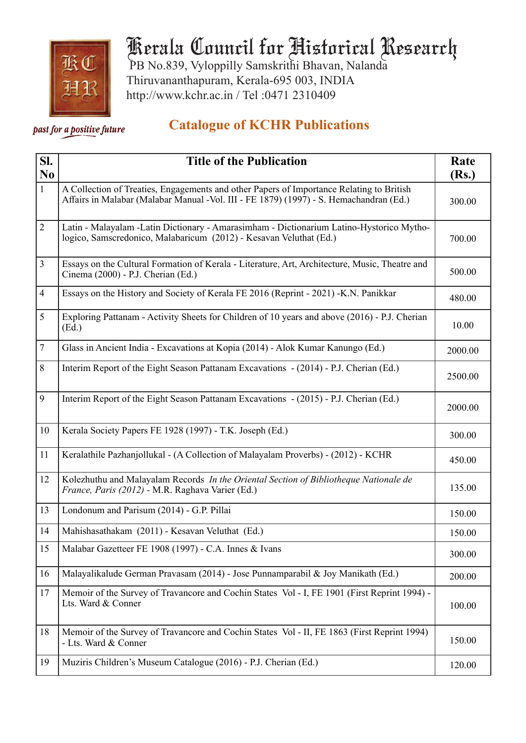

## Kerala Council for Historical Research

 PB No.839, Vyloppilly Samskrithi Bhavan, Nalanda Thiruvananthapuram, Kerala-695 003, INDIA http://www.kchr.ac.in / Tel :0471 2310409

## *Past for a positive future* **Catalogue of KCHR Publications**

| SI.<br>N <sub>0</sub> | <b>Title of the Publication</b>                                                                                                                                                     | Rate<br>(Rs.) |
|-----------------------|-------------------------------------------------------------------------------------------------------------------------------------------------------------------------------------|---------------|
| $\mathbf{1}$          | A Collection of Treaties, Engagements and other Papers of Importance Relating to British<br>Affairs in Malabar (Malabar Manual - Vol. III - FE 1879) (1997) - S. Hemachandran (Ed.) | 300.00        |
| $\overline{2}$        | Latin - Malayalam -Latin Dictionary - Amarasimham - Dictionarium Latino-Hystorico Mytho-<br>logico, Samscredonico, Malabaricum (2012) - Kesavan Veluthat (Ed.)                      | 700.00        |
| 3                     | Essays on the Cultural Formation of Kerala - Literature, Art, Architecture, Music, Theatre and<br>Cinema (2000) - P.J. Cherian (Ed.)                                                | 500.00        |
| $\overline{4}$        | Essays on the History and Society of Kerala FE 2016 (Reprint - 2021) -K.N. Panikkar                                                                                                 | 480.00        |
| 5                     | Exploring Pattanam - Activity Sheets for Children of 10 years and above (2016) - P.J. Cherian<br>(Ed.)                                                                              | 10.00         |
| 7                     | Glass in Ancient India - Excavations at Kopia (2014) - Alok Kumar Kanungo (Ed.)                                                                                                     | 2000.00       |
| 8                     | Interim Report of the Eight Season Pattanam Excavations - (2014) - P.J. Cherian (Ed.)                                                                                               | 2500.00       |
| 9                     | Interim Report of the Eight Season Pattanam Excavations - (2015) - P.J. Cherian (Ed.)                                                                                               | 2000.00       |
| 10                    | Kerala Society Papers FE 1928 (1997) - T.K. Joseph (Ed.)                                                                                                                            | 300.00        |
| 11                    | Keralathile Pazhanjollukal - (A Collection of Malayalam Proverbs) - (2012) - KCHR                                                                                                   | 450.00        |
| 12                    | Kolezhuthu and Malayalam Records In the Oriental Section of Bibliotheque Nationale de<br>France, Paris (2012) - M.R. Raghava Varier (Ed.)                                           | 135.00        |
| 13                    | Londonum and Parisum (2014) - G.P. Pillai                                                                                                                                           | 150.00        |
| 14                    | Mahishasathakam (2011) - Kesavan Veluthat (Ed.)                                                                                                                                     | 150.00        |
| 15                    | Malabar Gazetteer FE 1908 (1997) - C.A. Innes & Ivans                                                                                                                               | 300.00        |
| 16                    | Malayalikalude German Pravasam (2014) - Jose Punnamparabil & Joy Manikath (Ed.)                                                                                                     | 200.00        |
| 17                    | Memoir of the Survey of Travancore and Cochin States Vol - I, FE 1901 (First Reprint 1994) -<br>Lts. Ward & Conner                                                                  | 100.00        |
| 18                    | Memoir of the Survey of Travancore and Cochin States Vol - II, FE 1863 (First Reprint 1994)<br>- Lts. Ward & Conner                                                                 | 150.00        |
| 19                    | Muziris Children's Museum Catalogue (2016) - P.J. Cherian (Ed.)                                                                                                                     | 120.00        |